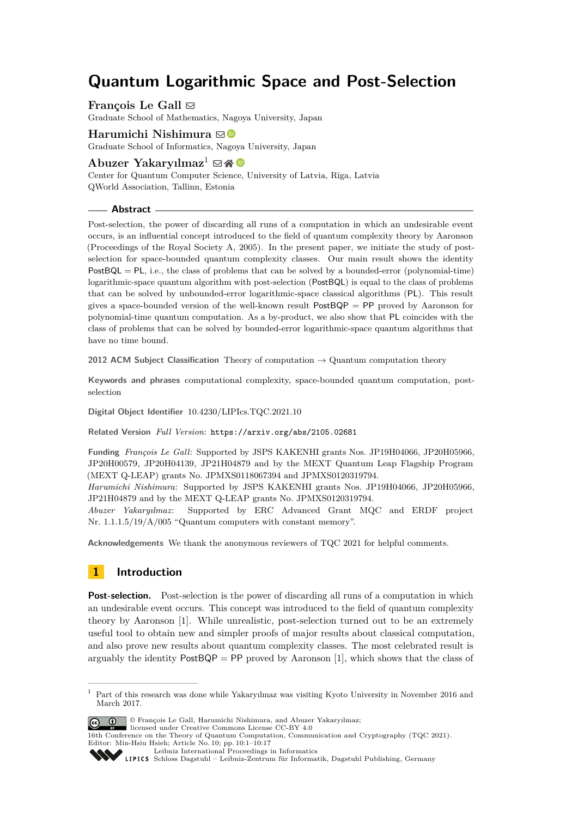# **Quantum Logarithmic Space and Post-Selection**

**François Le Gall** [#](mailto:legall@math.nagoya-u.ac.jp) Graduate School of Mathematics, Nagoya University, Japan

**Harumichi Nishimura** ⊠<sup>■</sup> Graduate School of Informatics, Nagoya University, Japan

Abuzer Yakarvılmaz<sup>1</sup>  $\boxtimes \bigotimes$ Center for Quantum Computer Science, University of Latvia, Rīga, Latvia QWorld Association, Tallinn, Estonia

## **Abstract**

Post-selection, the power of discarding all runs of a computation in which an undesirable event occurs, is an influential concept introduced to the field of quantum complexity theory by Aaronson (Proceedings of the Royal Society A, 2005). In the present paper, we initiate the study of postselection for space-bounded quantum complexity classes. Our main result shows the identity  $PostBQL = PL$ , i.e., the class of problems that can be solved by a bounded-error (polynomial-time) logarithmic-space quantum algorithm with post-selection (PostBQL) is equal to the class of problems that can be solved by unbounded-error logarithmic-space classical algorithms (PL). This result gives a space-bounded version of the well-known result  $PostBQP = PP$  proved by Aaronson for polynomial-time quantum computation. As a by-product, we also show that PL coincides with the class of problems that can be solved by bounded-error logarithmic-space quantum algorithms that have no time bound.

**2012 ACM Subject Classification** Theory of computation → Quantum computation theory

**Keywords and phrases** computational complexity, space-bounded quantum computation, postselection

**Digital Object Identifier** [10.4230/LIPIcs.TQC.2021.10](https://doi.org/10.4230/LIPIcs.TQC.2021.10)

**Related Version** *Full Version*: <https://arxiv.org/abs/2105.02681>

**Funding** *François Le Gall*: Supported by JSPS KAKENHI grants Nos. JP19H04066, JP20H05966, JP20H00579, JP20H04139, JP21H04879 and by the MEXT Quantum Leap Flagship Program (MEXT Q-LEAP) grants No. JPMXS0118067394 and JPMXS0120319794.

*Harumichi Nishimura*: Supported by JSPS KAKENHI grants Nos. JP19H04066, JP20H05966, JP21H04879 and by the MEXT Q-LEAP grants No. JPMXS0120319794.

*Abuzer Yakaryılmaz*: Supported by ERC Advanced Grant MQC and ERDF project Nr. 1.1.1.5/19/A/005 "Quantum computers with constant memory".

**Acknowledgements** We thank the anonymous reviewers of TQC 2021 for helpful comments.

# <span id="page-0-0"></span>**1 Introduction**

**Post-selection.** Post-selection is the power of discarding all runs of a computation in which an undesirable event occurs. This concept was introduced to the field of quantum complexity theory by Aaronson [\[1\]](#page-15-0). While unrealistic, post-selection turned out to be an extremely useful tool to obtain new and simpler proofs of major results about classical computation, and also prove new results about quantum complexity classes. The most celebrated result is arguably the identity  $PostBQP = PP$  proved by Aaronson [\[1\]](#page-15-0), which shows that the class of

<sup>&</sup>lt;sup>1</sup> Part of this research was done while Yakaryılmaz was visiting Kyoto University in November 2016 and March 2017.



© François Le Gall, Harumichi Nishimura, and Abuzer Yakaryılmaz;

licensed under Creative Commons License CC-BY 4.0 16th Conference on the Theory of Quantum Computation, Communication and Cryptography (TQC 2021). Editor: Min-Hsiu Hsieh; Article No. 10; pp. 10:1–10:17

[Leibniz International Proceedings in Informatics](https://www.dagstuhl.de/lipics/)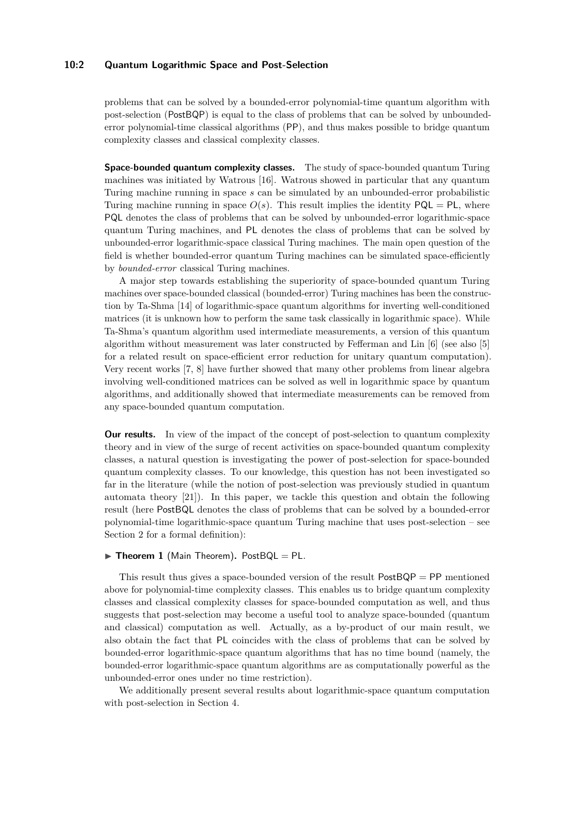# **10:2 Quantum Logarithmic Space and Post-Selection**

problems that can be solved by a bounded-error polynomial-time quantum algorithm with post-selection (PostBQP) is equal to the class of problems that can be solved by unboundederror polynomial-time classical algorithms (PP), and thus makes possible to bridge quantum complexity classes and classical complexity classes.

**Space-bounded quantum complexity classes.** The study of space-bounded quantum Turing machines was initiated by Watrous [\[16\]](#page-16-0). Watrous showed in particular that any quantum Turing machine running in space *s* can be simulated by an unbounded-error probabilistic Turing machine running in space  $O(s)$ . This result implies the identity  $PQL = PL$ , where PQL denotes the class of problems that can be solved by unbounded-error logarithmic-space quantum Turing machines, and PL denotes the class of problems that can be solved by unbounded-error logarithmic-space classical Turing machines. The main open question of the field is whether bounded-error quantum Turing machines can be simulated space-efficiently by *bounded-error* classical Turing machines.

A major step towards establishing the superiority of space-bounded quantum Turing machines over space-bounded classical (bounded-error) Turing machines has been the construction by Ta-Shma [\[14\]](#page-16-1) of logarithmic-space quantum algorithms for inverting well-conditioned matrices (it is unknown how to perform the same task classically in logarithmic space). While Ta-Shma's quantum algorithm used intermediate measurements, a version of this quantum algorithm without measurement was later constructed by Fefferman and Lin [\[6\]](#page-15-1) (see also [\[5\]](#page-15-2) for a related result on space-efficient error reduction for unitary quantum computation). Very recent works [\[7,](#page-15-3) [8\]](#page-15-4) have further showed that many other problems from linear algebra involving well-conditioned matrices can be solved as well in logarithmic space by quantum algorithms, and additionally showed that intermediate measurements can be removed from any space-bounded quantum computation.

**Our results.** In view of the impact of the concept of post-selection to quantum complexity theory and in view of the surge of recent activities on space-bounded quantum complexity classes, a natural question is investigating the power of post-selection for space-bounded quantum complexity classes. To our knowledge, this question has not been investigated so far in the literature (while the notion of post-selection was previously studied in quantum automata theory [\[21\]](#page-16-2)). In this paper, we tackle this question and obtain the following result (here PostBQL denotes the class of problems that can be solved by a bounded-error polynomial-time logarithmic-space quantum Turing machine that uses post-selection – see Section [2](#page-2-0) for a formal definition):

## ▶ **Theorem 1** (Main Theorem)**.** PostBQL = PL*.*

This result thus gives a space-bounded version of the result  $PostBQP = PP$  mentioned above for polynomial-time complexity classes. This enables us to bridge quantum complexity classes and classical complexity classes for space-bounded computation as well, and thus suggests that post-selection may become a useful tool to analyze space-bounded (quantum and classical) computation as well. Actually, as a by-product of our main result, we also obtain the fact that PL coincides with the class of problems that can be solved by bounded-error logarithmic-space quantum algorithms that has no time bound (namely, the bounded-error logarithmic-space quantum algorithms are as computationally powerful as the unbounded-error ones under no time restriction).

We additionally present several results about logarithmic-space quantum computation with post-selection in Section [4.](#page-14-0)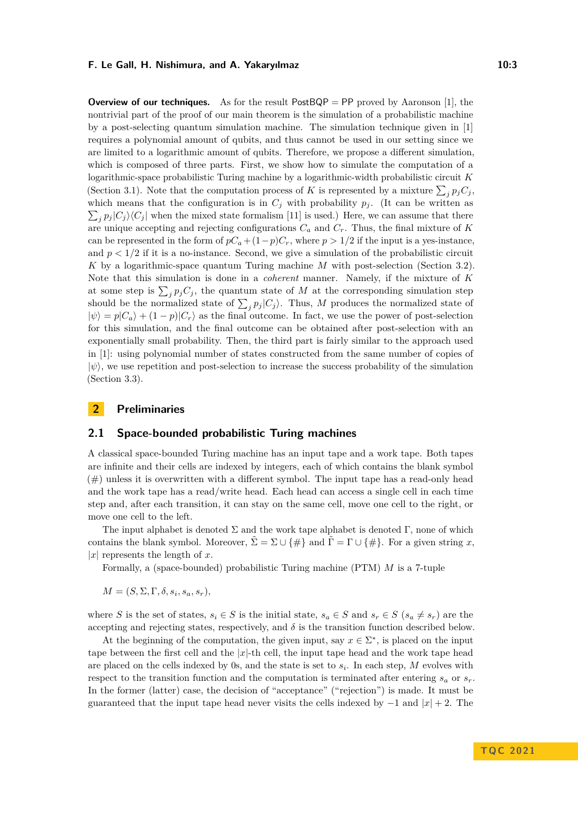**Overview of our techniques.** As for the result  $PostBQP = PP$  proved by Aaronson [\[1\]](#page-15-0), the nontrivial part of the proof of our main theorem is the simulation of a probabilistic machine by a post-selecting quantum simulation machine. The simulation technique given in [\[1\]](#page-15-0) requires a polynomial amount of qubits, and thus cannot be used in our setting since we are limited to a logarithmic amount of qubits. Therefore, we propose a different simulation, which is composed of three parts. First, we show how to simulate the computation of a logarithmic-space probabilistic Turing machine by a logarithmic-width probabilistic circuit *K* (Section [3.1\)](#page-7-0). Note that the computation process of *K* is represented by a mixture  $\sum_j p_j C_j$ , which means that the configuration is in  $C_j$  with probability  $p_j$ . (It can be written as  $\sum_j p_j |C_j\rangle\langle C_j|$  when the mixed state formalism [\[11\]](#page-16-3) is used.) Here, we can assume that there are unique accepting and rejecting configurations *C<sup>a</sup>* and *Cr*. Thus, the final mixture of *K* can be represented in the form of  $pC_a + (1-p)C_r$ , where  $p > 1/2$  if the input is a yes-instance, and  $p < 1/2$  if it is a no-instance. Second, we give a simulation of the probabilistic circuit *K* by a logarithmic-space quantum Turing machine *M* with post-selection (Section [3.2\)](#page-9-0). Note that this simulation is done in a *coherent* manner. Namely, if the mixture of *K* at some step is  $\sum_{j} p_j C_j$ , the quantum state of *M* at the corresponding simulation step should be the normalized state of  $\sum_j p_j |C_j\rangle$ . Thus, M produces the normalized state of  $|\psi\rangle = p|C_a\rangle + (1-p)|C_r\rangle$  as the final outcome. In fact, we use the power of post-selection for this simulation, and the final outcome can be obtained after post-selection with an exponentially small probability. Then, the third part is fairly similar to the approach used in [\[1\]](#page-15-0): using polynomial number of states constructed from the same number of copies of  $|\psi\rangle$ , we use repetition and post-selection to increase the success probability of the simulation (Section [3.3\)](#page-11-0).

# <span id="page-2-0"></span>**2 Preliminaries**

## **2.1 Space-bounded probabilistic Turing machines**

A classical space-bounded Turing machine has an input tape and a work tape. Both tapes are infinite and their cells are indexed by integers, each of which contains the blank symbol  $(\#)$  unless it is overwritten with a different symbol. The input tape has a read-only head and the work tape has a read/write head. Each head can access a single cell in each time step and, after each transition, it can stay on the same cell, move one cell to the right, or move one cell to the left.

The input alphabet is denoted  $\Sigma$  and the work tape alphabet is denoted Γ, none of which contains the blank symbol. Moreover,  $\Sigma = \Sigma \cup \{\#\}$  and  $\overline{\Gamma} = \Gamma \cup \{\#\}$ . For a given string *x*, |*x*| represents the length of *x*.

Formally, a (space-bounded) probabilistic Turing machine (PTM) *M* is a 7-tuple

 $M = (S, \Sigma, \Gamma, \delta, s_i, s_a, s_r),$ 

where *S* is the set of states,  $s_i \in S$  is the initial state,  $s_a \in S$  and  $s_r \in S$  ( $s_a \neq s_r$ ) are the accepting and rejecting states, respectively, and  $\delta$  is the transition function described below.

At the beginning of the computation, the given input, say  $x \in \Sigma^*$ , is placed on the input tape between the first cell and the |*x*|-th cell, the input tape head and the work tape head are placed on the cells indexed by 0s, and the state is set to *s<sup>i</sup>* . In each step, *M* evolves with respect to the transition function and the computation is terminated after entering  $s_a$  or  $s_r$ . In the former (latter) case, the decision of "acceptance" ("rejection") is made. It must be guaranteed that the input tape head never visits the cells indexed by  $-1$  and  $|x|+2$ . The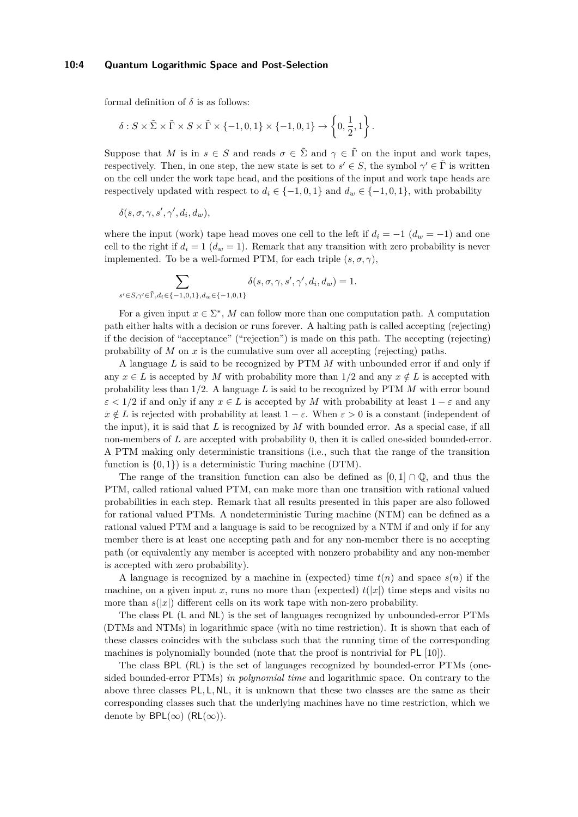#### **10:4 Quantum Logarithmic Space and Post-Selection**

formal definition of  $\delta$  is as follows:

$$
\delta: S \times \tilde{\Sigma} \times \tilde{\Gamma} \times S \times \tilde{\Gamma} \times \{-1, 0, 1\} \times \{-1, 0, 1\} \to \left\{0, \frac{1}{2}, 1\right\}.
$$

Suppose that *M* is in  $s \in S$  and reads  $\sigma \in \tilde{\Sigma}$  and  $\gamma \in \tilde{\Gamma}$  on the input and work tapes, respectively. Then, in one step, the new state is set to  $s' \in S$ , the symbol  $\gamma' \in \tilde{\Gamma}$  is written on the cell under the work tape head, and the positions of the input and work tape heads are respectively updated with respect to  $d_i \in \{-1, 0, 1\}$  and  $d_w \in \{-1, 0, 1\}$ , with probability

 $\delta(s, \sigma, \gamma, s', \gamma', d_i, d_w)$ ,

where the input (work) tape head moves one cell to the left if  $d_i = -1$  ( $d_w = -1$ ) and one cell to the right if  $d_i = 1$  ( $d_w = 1$ ). Remark that any transition with zero probability is never implemented. To be a well-formed PTM, for each triple  $(s, \sigma, \gamma)$ ,

$$
\sum_{s' \in S, \gamma' \in \tilde{\Gamma}, d_i \in \{-1, 0, 1\}, d_w \in \{-1, 0, 1\}} \delta(s, \sigma, \gamma, s', \gamma', d_i, d_w) = 1.
$$

For a given input  $x \in \Sigma^*$ , *M* can follow more than one computation path. A computation path either halts with a decision or runs forever. A halting path is called accepting (rejecting) if the decision of "acceptance" ("rejection") is made on this path. The accepting (rejecting) probability of *M* on *x* is the cumulative sum over all accepting (rejecting) paths.

A language *L* is said to be recognized by PTM *M* with unbounded error if and only if any  $x \in L$  is accepted by M with probability more than  $1/2$  and any  $x \notin L$  is accepted with probability less than 1*/*2. A language *L* is said to be recognized by PTM *M* with error bound  $\varepsilon$  < 1/2 if and only if any  $x \in L$  is accepted by *M* with probability at least 1 –  $\varepsilon$  and any  $x \notin L$  is rejected with probability at least  $1 - \varepsilon$ . When  $\varepsilon > 0$  is a constant (independent of the input), it is said that *L* is recognized by *M* with bounded error. As a special case, if all non-members of *L* are accepted with probability 0, then it is called one-sided bounded-error. A PTM making only deterministic transitions (i.e., such that the range of the transition function is  $\{0, 1\}$  is a deterministic Turing machine (DTM).

The range of the transition function can also be defined as  $[0,1] \cap \mathbb{Q}$ , and thus the PTM, called rational valued PTM, can make more than one transition with rational valued probabilities in each step. Remark that all results presented in this paper are also followed for rational valued PTMs. A nondeterministic Turing machine (NTM) can be defined as a rational valued PTM and a language is said to be recognized by a NTM if and only if for any member there is at least one accepting path and for any non-member there is no accepting path (or equivalently any member is accepted with nonzero probability and any non-member is accepted with zero probability).

A language is recognized by a machine in (expected) time  $t(n)$  and space  $s(n)$  if the machine, on a given input x, runs no more than (expected)  $t(|x|)$  time steps and visits no more than  $s(|x|)$  different cells on its work tape with non-zero probability.

The class PL (L and NL) is the set of languages recognized by unbounded-error PTMs (DTMs and NTMs) in logarithmic space (with no time restriction). It is shown that each of these classes coincides with the subclass such that the running time of the corresponding machines is polynomially bounded (note that the proof is nontrivial for PL [\[10\]](#page-16-4)).

The class BPL (RL) is the set of languages recognized by bounded-error PTMs (onesided bounded-error PTMs) *in polynomial time* and logarithmic space. On contrary to the above three classes PL*,* L*,* NL, it is unknown that these two classes are the same as their corresponding classes such that the underlying machines have no time restriction, which we denote by  $BPL(\infty)$  (RL( $\infty$ )).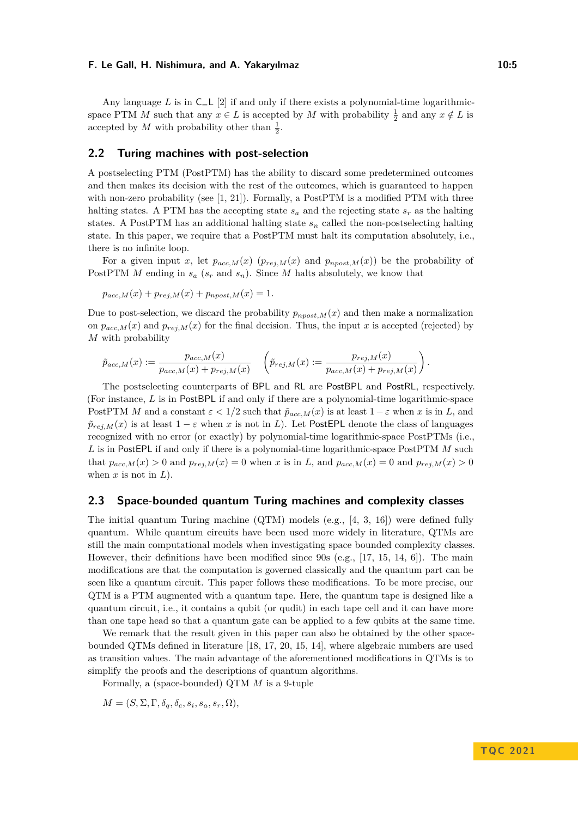Any language L is in  $C=L$  [\[2\]](#page-15-5) if and only if there exists a polynomial-time logarithmicspace PTM *M* such that any  $x \in L$  is accepted by *M* with probability  $\frac{1}{2}$  and any  $x \notin L$  is accepted by *M* with probability other than  $\frac{1}{2}$ .

## **2.2 Turing machines with post-selection**

A postselecting PTM (PostPTM) has the ability to discard some predetermined outcomes and then makes its decision with the rest of the outcomes, which is guaranteed to happen with non-zero probability (see  $[1, 21]$  $[1, 21]$  $[1, 21]$ ). Formally, a PostPTM is a modified PTM with three halting states. A PTM has the accepting state  $s_a$  and the rejecting state  $s_r$  as the halting states. A PostPTM has an additional halting state *s<sup>n</sup>* called the non-postselecting halting state. In this paper, we require that a PostPTM must halt its computation absolutely, i.e., there is no infinite loop.

For a given input *x*, let  $p_{acc,M}(x)$  ( $p_{rej,M}(x)$  and  $p_{npost,M}(x)$ ) be the probability of PostPTM *M* ending in  $s_a$  ( $s_r$  and  $s_n$ ). Since *M* halts absolutely, we know that

$$
p_{acc,M}(x) + p_{rej,M}(x) + p_{npost,M}(x) = 1.
$$

Due to post-selection, we discard the probability  $p_{npost,M}(x)$  and then make a normalization on  $p_{acc,M}(x)$  and  $p_{rej,M}(x)$  for the final decision. Thus, the input *x* is accepted (rejected) by *M* with probability

$$
\tilde{p}_{acc,M}(x) := \frac{p_{acc,M}(x)}{p_{acc,M}(x) + p_{rej,M}(x)} \quad \left(\tilde{p}_{rej,M}(x) := \frac{p_{rej,M}(x)}{p_{acc,M}(x) + p_{rej,M}(x)}\right).
$$

The postselecting counterparts of BPL and RL are PostBPL and PostRL, respectively. (For instance, *L* is in PostBPL if and only if there are a polynomial-time logarithmic-space PostPTM *M* and a constant  $\varepsilon < 1/2$  such that  $\tilde{p}_{acc,M}(x)$  is at least  $1 - \varepsilon$  when *x* is in *L*, and  $\tilde{p}_{rej,M}(x)$  is at least  $1 - \varepsilon$  when *x* is not in *L*). Let PostEPL denote the class of languages recognized with no error (or exactly) by polynomial-time logarithmic-space PostPTMs (i.e., *L* is in PostEPL if and only if there is a polynomial-time logarithmic-space PostPTM *M* such that  $p_{acc,M}(x) > 0$  and  $p_{rej,M}(x) = 0$  when *x* is in *L*, and  $p_{acc,M}(x) = 0$  and  $p_{rej,M}(x) > 0$ when  $x$  is not in  $L$ ).

## **2.3 Space-bounded quantum Turing machines and complexity classes**

The initial quantum Turing machine (QTM) models (e.g., [\[4,](#page-15-6) [3,](#page-15-7) [16\]](#page-16-0)) were defined fully quantum. While quantum circuits have been used more widely in literature, QTMs are still the main computational models when investigating space bounded complexity classes. However, their definitions have been modified since 90s (e.g.,  $[17, 15, 14, 6]$  $[17, 15, 14, 6]$  $[17, 15, 14, 6]$  $[17, 15, 14, 6]$  $[17, 15, 14, 6]$  $[17, 15, 14, 6]$  $[17, 15, 14, 6]$ ). The main modifications are that the computation is governed classically and the quantum part can be seen like a quantum circuit. This paper follows these modifications. To be more precise, our QTM is a PTM augmented with a quantum tape. Here, the quantum tape is designed like a quantum circuit, i.e., it contains a qubit (or qudit) in each tape cell and it can have more than one tape head so that a quantum gate can be applied to a few qubits at the same time.

We remark that the result given in this paper can also be obtained by the other spacebounded QTMs defined in literature [\[18,](#page-16-7) [17,](#page-16-5) [20,](#page-16-8) [15,](#page-16-6) [14\]](#page-16-1), where algebraic numbers are used as transition values. The main advantage of the aforementioned modifications in QTMs is to simplify the proofs and the descriptions of quantum algorithms.

Formally, a (space-bounded) QTM *M* is a 9-tuple

 $M = (S, \Sigma, \Gamma, \delta_q, \delta_c, s_i, s_a, s_r, \Omega),$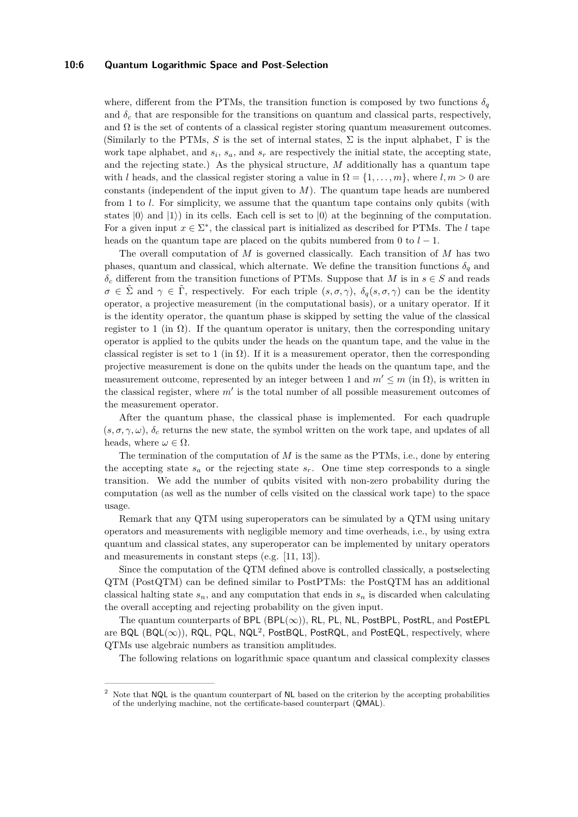#### **10:6 Quantum Logarithmic Space and Post-Selection**

where, different from the PTMs, the transition function is composed by two functions  $\delta_q$ and  $\delta_c$  that are responsible for the transitions on quantum and classical parts, respectively, and  $\Omega$  is the set of contents of a classical register storing quantum measurement outcomes. (Similarly to the PTMs,  $S$  is the set of internal states,  $\Sigma$  is the input alphabet,  $\Gamma$  is the work tape alphabet, and  $s_i$ ,  $s_a$ , and  $s_r$  are respectively the initial state, the accepting state, and the rejecting state.) As the physical structure, *M* additionally has a quantum tape with *l* heads, and the classical register storing a value in  $\Omega = \{1, \ldots, m\}$ , where  $l, m > 0$  are constants (independent of the input given to *M*). The quantum tape heads are numbered from 1 to *l*. For simplicity, we assume that the quantum tape contains only qubits (with states  $|0\rangle$  and  $|1\rangle$ ) in its cells. Each cell is set to  $|0\rangle$  at the beginning of the computation. For a given input  $x \in \Sigma^*$ , the classical part is initialized as described for PTMs. The *l* tape heads on the quantum tape are placed on the qubits numbered from 0 to  $l-1$ .

The overall computation of *M* is governed classically. Each transition of *M* has two phases, quantum and classical, which alternate. We define the transition functions  $\delta_q$  and *δ<sup>c</sup>* different from the transition functions of PTMs. Suppose that *M* is in *s* ∈ *S* and reads  $\sigma \in \tilde{\Sigma}$  and  $\gamma \in \tilde{\Gamma}$ , respectively. For each triple  $(s, \sigma, \gamma)$ ,  $\delta_q(s, \sigma, \gamma)$  can be the identity operator, a projective measurement (in the computational basis), or a unitary operator. If it is the identity operator, the quantum phase is skipped by setting the value of the classical register to 1 (in  $\Omega$ ). If the quantum operator is unitary, then the corresponding unitary operator is applied to the qubits under the heads on the quantum tape, and the value in the classical register is set to 1 (in  $\Omega$ ). If it is a measurement operator, then the corresponding projective measurement is done on the qubits under the heads on the quantum tape, and the measurement outcome, represented by an integer between 1 and  $m' \le m$  (in  $\Omega$ ), is written in the classical register, where *m*′ is the total number of all possible measurement outcomes of the measurement operator.

After the quantum phase, the classical phase is implemented. For each quadruple  $(s, \sigma, \gamma, \omega)$ ,  $\delta_c$  returns the new state, the symbol written on the work tape, and updates of all heads, where  $\omega \in \Omega$ .

The termination of the computation of *M* is the same as the PTMs, i.e., done by entering the accepting state  $s_a$  or the rejecting state  $s_r$ . One time step corresponds to a single transition. We add the number of qubits visited with non-zero probability during the computation (as well as the number of cells visited on the classical work tape) to the space usage.

Remark that any QTM using superoperators can be simulated by a QTM using unitary operators and measurements with negligible memory and time overheads, i.e., by using extra quantum and classical states, any superoperator can be implemented by unitary operators and measurements in constant steps (e.g. [\[11,](#page-16-3) [13\]](#page-16-9)).

Since the computation of the QTM defined above is controlled classically, a postselecting QTM (PostQTM) can be defined similar to PostPTMs: the PostQTM has an additional classical halting state  $s_n$ , and any computation that ends in  $s_n$  is discarded when calculating the overall accepting and rejecting probability on the given input.

The quantum counterparts of BPL (BPL( $\infty$ )), RL, PL, NL, PostBPL, PostRL, and PostEPL are BQL  $(BQL(\infty)$ ), RQL, PQL, NQL<sup>[2](#page-5-0)</sup>, PostBQL, PostRQL, and PostEQL, respectively, where QTMs use algebraic numbers as transition amplitudes.

The following relations on logarithmic space quantum and classical complexity classes

<span id="page-5-0"></span><sup>&</sup>lt;sup>2</sup> Note that NQL is the quantum counterpart of NL based on the criterion by the accepting probabilities of the underlying machine, not the certificate-based counterpart (QMAL).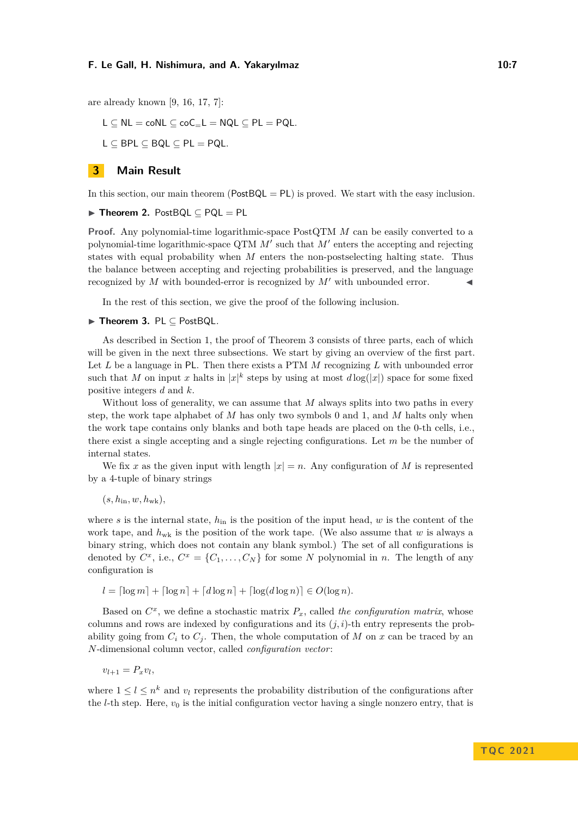are already known [\[9,](#page-16-10) [16,](#page-16-0) [17,](#page-16-5) [7\]](#page-15-3):

 $L \subseteq NL = \text{co}NL \subseteq \text{co}C_{-}L = NQL \subseteq PL = PQL$ .

 $L \subseteq BPL \subseteq BQL \subseteq PL = PQL$ .

#### <span id="page-6-1"></span>**3 Main Result**

In this section, our main theorem ( $PostBQL = PL$ ) is proved. We start with the easy inclusion.

## ▶ **Theorem 2.** PostBQL ⊆ PQL = PL

**Proof.** Any polynomial-time logarithmic-space PostQTM *M* can be easily converted to a polynomial-time logarithmic-space QTM  $M'$  such that  $M'$  enters the accepting and rejecting states with equal probability when *M* enters the non-postselecting halting state. Thus the balance between accepting and rejecting probabilities is preserved, and the language recognized by *M* with bounded-error is recognized by *M'* with unbounded error.

In the rest of this section, we give the proof of the following inclusion.

#### <span id="page-6-0"></span>▶ **Theorem 3.** PL ⊆ PostBQL*.*

As described in Section [1,](#page-0-0) the proof of Theorem [3](#page-6-0) consists of three parts, each of which will be given in the next three subsections. We start by giving an overview of the first part. Let *L* be a language in PL. Then there exists a PTM *M* recognizing *L* with unbounded error such that *M* on input *x* halts in  $|x|^k$  steps by using at most  $d\log(|x|)$  space for some fixed positive integers *d* and *k*.

Without loss of generality, we can assume that *M* always splits into two paths in every step, the work tape alphabet of *M* has only two symbols 0 and 1, and *M* halts only when the work tape contains only blanks and both tape heads are placed on the 0-th cells, i.e., there exist a single accepting and a single rejecting configurations. Let *m* be the number of internal states.

We fix *x* as the given input with length  $|x| = n$ . Any configuration of *M* is represented by a 4-tuple of binary strings

 $(s, h_{\text{in}}, w, h_{\text{wk}})$ 

where *s* is the internal state, *h*in is the position of the input head, *w* is the content of the work tape, and *h*wk is the position of the work tape. (We also assume that *w* is always a binary string, which does not contain any blank symbol.) The set of all configurations is denoted by  $C^x$ , i.e.,  $C^x = \{C_1, \ldots, C_N\}$  for some *N* polynomial in *n*. The length of any configuration is

 $l = \lceil \log m \rceil + \lceil \log n \rceil + \lceil \log d \log n \rceil + \lceil \log(d \log n) \rceil \in O(\log n)$ .

Based on  $C^x$ , we define a stochastic matrix  $P_x$ , called *the configuration matrix*, whose columns and rows are indexed by configurations and its  $(j, i)$ -th entry represents the probability going from  $C_i$  to  $C_j$ . Then, the whole computation of  $M$  on  $x$  can be traced by an *N*-dimensional column vector, called *configuration vector*:

$$
v_{l+1} = P_x v_l,
$$

where  $1 \leq l \leq n^k$  and  $v_l$  represents the probability distribution of the configurations after the *l*-th step. Here,  $v_0$  is the initial configuration vector having a single nonzero entry, that is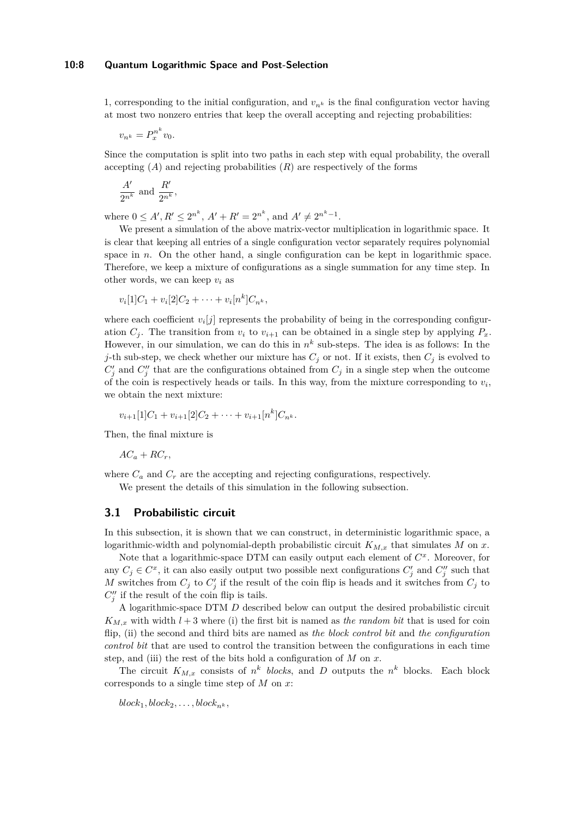#### **10:8 Quantum Logarithmic Space and Post-Selection**

1, corresponding to the initial configuration, and  $v_{n^k}$  is the final configuration vector having at most two nonzero entries that keep the overall accepting and rejecting probabilities:

$$
v_{n^k} = P_x^{n^k} v_0.
$$

Since the computation is split into two paths in each step with equal probability, the overall accepting  $(A)$  and rejecting probabilities  $(R)$  are respectively of the forms

$$
\frac{A'}{2^{n^k}}
$$
 and  $\frac{R'}{2^{n^k}}$ 

*,*

where  $0 \leq A', R' \leq 2^{n^k}, A' + R' = 2^{n^k}, \text{ and } A' \neq 2^{n^k-1}.$ 

We present a simulation of the above matrix-vector multiplication in logarithmic space. It is clear that keeping all entries of a single configuration vector separately requires polynomial space in *n*. On the other hand, a single configuration can be kept in logarithmic space. Therefore, we keep a mixture of configurations as a single summation for any time step. In other words, we can keep  $v_i$  as

$$
v_i[1]C_1 + v_i[2]C_2 + \cdots + v_i[n^k]C_{n^k},
$$

where each coefficient  $v_i[j]$  represents the probability of being in the corresponding configuration  $C_j$ . The transition from  $v_i$  to  $v_{i+1}$  can be obtained in a single step by applying  $P_x$ . However, in our simulation, we can do this in  $n^k$  sub-steps. The idea is as follows: In the *j*-th sub-step, we check whether our mixture has  $C_j$  or not. If it exists, then  $C_j$  is evolved to  $C'_{j}$  and  $C''_{j}$  that are the configurations obtained from  $C_{j}$  in a single step when the outcome of the coin is respectively heads or tails. In this way, from the mixture corresponding to  $v_i$ , we obtain the next mixture:

$$
v_{i+1}[1]C_1 + v_{i+1}[2]C_2 + \cdots + v_{i+1}[n^k]C_{n^k}.
$$

Then, the final mixture is

$$
AC_a + RC_r,
$$

where  $C_a$  and  $C_r$  are the accepting and rejecting configurations, respectively. We present the details of this simulation in the following subsection.

# <span id="page-7-0"></span>**3.1 Probabilistic circuit**

In this subsection, it is shown that we can construct, in deterministic logarithmic space, a logarithmic-width and polynomial-depth probabilistic circuit  $K_{M,x}$  that simulates *M* on *x*.

Note that a logarithmic-space DTM can easily output each element of *C x* . Moreover, for any  $C_j \in C^x$ , it can also easily output two possible next configurations  $C'_j$  and  $C''_j$  such that *M* switches from  $C_j$  to  $C'_j$  if the result of the coin flip is heads and it switches from  $C_j$  to  $C''_j$  if the result of the coin flip is tails.

A logarithmic-space DTM *D* described below can output the desired probabilistic circuit  $K_{M,x}$  with width  $l+3$  where (i) the first bit is named as *the random bit* that is used for coin flip, (ii) the second and third bits are named as *the block control bit* and *the configuration control bit* that are used to control the transition between the configurations in each time step, and (iii) the rest of the bits hold a configuration of *M* on *x*.

The circuit  $K_{M,x}$  consists of  $n^k$  blocks, and *D* outputs the  $n^k$  blocks. Each block corresponds to a single time step of *M* on *x*:

 $block_1, block_2, \ldots, block_{n^k}$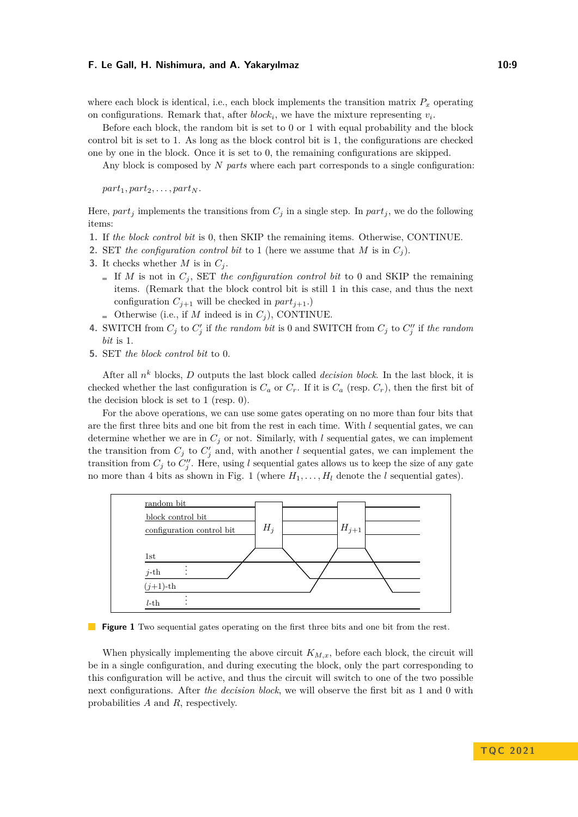where each block is identical, i.e., each block implements the transition matrix  $P_x$  operating on configurations. Remark that, after  $block_i$ , we have the mixture representing  $v_i$ .

Before each block, the random bit is set to 0 or 1 with equal probability and the block control bit is set to 1. As long as the block control bit is 1, the configurations are checked one by one in the block. Once it is set to 0, the remaining configurations are skipped.

Any block is composed by *N parts* where each part corresponds to a single configuration:

 $part_1, part_2, \ldots, part_N$ .

Here,  $part_i$  implements the transitions from  $C_i$  in a single step. In  $part_i$ , we do the following items:

- **1.** If *the block control bit* is 0, then SKIP the remaining items. Otherwise, CONTINUE.
- **2.** SET the configuration control bit to 1 (here we assume that *M* is in  $C_i$ ).
- **3.** It checks whether *M* is in  $C_i$ .
	- If *M* is not in  $C_i$ , SET the configuration control bit to 0 and SKIP the remaining items. (Remark that the block control bit is still 1 in this case, and thus the next configuration  $C_{i+1}$  will be checked in  $part_{j+1}$ .)
	- **Otherwise** (i.e., if *M* indeed is in  $C_j$ ), CONTINUE.
- **4.** SWITCH from  $C_j$  to  $C'_j$  if the random bit is 0 and SWITCH from  $C_j$  to  $C''_j$  if the random *bit* is 1.
- **5.** SET *the block control bit* to 0.

After all *n <sup>k</sup>* blocks, *D* outputs the last block called *decision block*. In the last block, it is checked whether the last configuration is  $C_a$  or  $C_r$ . If it is  $C_a$  (resp.  $C_r$ ), then the first bit of the decision block is set to 1 (resp. 0).

For the above operations, we can use some gates operating on no more than four bits that are the first three bits and one bit from the rest in each time. With *l* sequential gates, we can determine whether we are in  $C_j$  or not. Similarly, with  $l$  sequential gates, we can implement the transition from  $C_j$  to  $C'_j$  and, with another *l* sequential gates, we can implement the transition from  $C_j$  to  $C''_j$ . Here, using *l* sequential gates allows us to keep the size of any gate no more than 4 bits as shown in Fig. [1](#page-8-0) (where  $H_1, \ldots, H_l$  denote the *l* sequential gates).

<span id="page-8-0"></span>

**Figure 1** Two sequential gates operating on the first three bits and one bit from the rest.

When physically implementing the above circuit  $K_{M,x}$ , before each block, the circuit will be in a single configuration, and during executing the block, only the part corresponding to this configuration will be active, and thus the circuit will switch to one of the two possible next configurations. After *the decision block*, we will observe the first bit as 1 and 0 with probabilities *A* and *R*, respectively.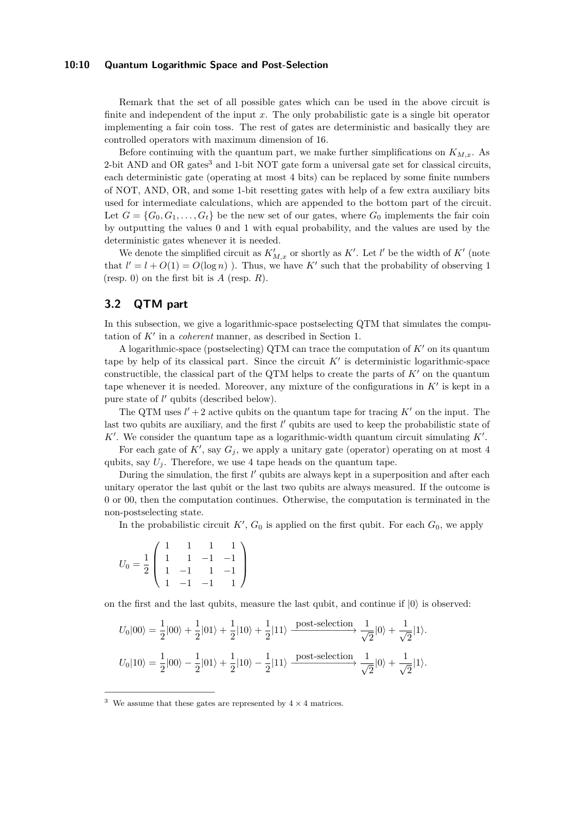#### **10:10 Quantum Logarithmic Space and Post-Selection**

Remark that the set of all possible gates which can be used in the above circuit is finite and independent of the input *x*. The only probabilistic gate is a single bit operator implementing a fair coin toss. The rest of gates are deterministic and basically they are controlled operators with maximum dimension of 16.

Before continuing with the quantum part, we make further simplifications on  $K_{M,x}$ . As 2-bit AND and OR gates<sup>[3](#page-9-1)</sup> and 1-bit NOT gate form a universal gate set for classical circuits, each deterministic gate (operating at most 4 bits) can be replaced by some finite numbers of NOT, AND, OR, and some 1-bit resetting gates with help of a few extra auxiliary bits used for intermediate calculations, which are appended to the bottom part of the circuit. Let  $G = \{G_0, G_1, \ldots, G_t\}$  be the new set of our gates, where  $G_0$  implements the fair coin by outputting the values 0 and 1 with equal probability, and the values are used by the deterministic gates whenever it is needed.

We denote the simplified circuit as  $K'_{M,x}$  or shortly as  $K'$ . Let *l'* be the width of  $K'$  (note that  $l' = l + O(1) = O(\log n)$ . Thus, we have K' such that the probability of observing 1 (resp. 0) on the first bit is *A* (resp. *R*).

# <span id="page-9-0"></span>**3.2 QTM part**

In this subsection, we give a logarithmic-space postselecting QTM that simulates the computation of *K*′ in a *coherent* manner, as described in Section [1.](#page-0-0)

A logarithmic-space (postselecting) QTM can trace the computation of *K*′ on its quantum tape by help of its classical part. Since the circuit  $K'$  is deterministic logarithmic-space constructible, the classical part of the QTM helps to create the parts of *K*′ on the quantum tape whenever it is needed. Moreover, any mixture of the configurations in *K*′ is kept in a pure state of *l'* qubits (described below).

The QTM uses  $l' + 2$  active qubits on the quantum tape for tracing  $K'$  on the input. The last two qubits are auxiliary, and the first *l'* qubits are used to keep the probabilistic state of *K*′ . We consider the quantum tape as a logarithmic-width quantum circuit simulating *K*′ .

For each gate of  $K'$ , say  $G_j$ , we apply a unitary gate (operator) operating on at most 4 qubits, say  $U_i$ . Therefore, we use 4 tape heads on the quantum tape.

During the simulation, the first *l'* qubits are always kept in a superposition and after each unitary operator the last qubit or the last two qubits are always measured. If the outcome is 0 or 00, then the computation continues. Otherwise, the computation is terminated in the non-postselecting state.

In the probabilistic circuit  $K'$ ,  $G_0$  is applied on the first qubit. For each  $G_0$ , we apply

$$
U_0=\frac{1}{2}\left(\begin{array}{rrrr}1&1&1&1\\1&1&-1&-1\\1&-1&1&-1\\1&-1&-1&1\end{array}\right)
$$

on the first and the last qubits, measure the last qubit, and continue if  $|0\rangle$  is observed:

$$
\begin{split} U_0|00\rangle&=\frac{1}{2}|00\rangle+\frac{1}{2}|01\rangle+\frac{1}{2}|10\rangle+\frac{1}{2}|11\rangle\xrightarrow{\text{post-selection}}\frac{1}{\sqrt{2}}|0\rangle+\frac{1}{\sqrt{2}}|1\rangle.\\ U_0|10\rangle&=\frac{1}{2}|00\rangle-\frac{1}{2}|01\rangle+\frac{1}{2}|10\rangle-\frac{1}{2}|11\rangle\xrightarrow{\text{post-selection}}\frac{1}{\sqrt{2}}|0\rangle+\frac{1}{\sqrt{2}}|1\rangle. \end{split}
$$

<span id="page-9-1"></span><sup>&</sup>lt;sup>3</sup> We assume that these gates are represented by  $4 \times 4$  matrices.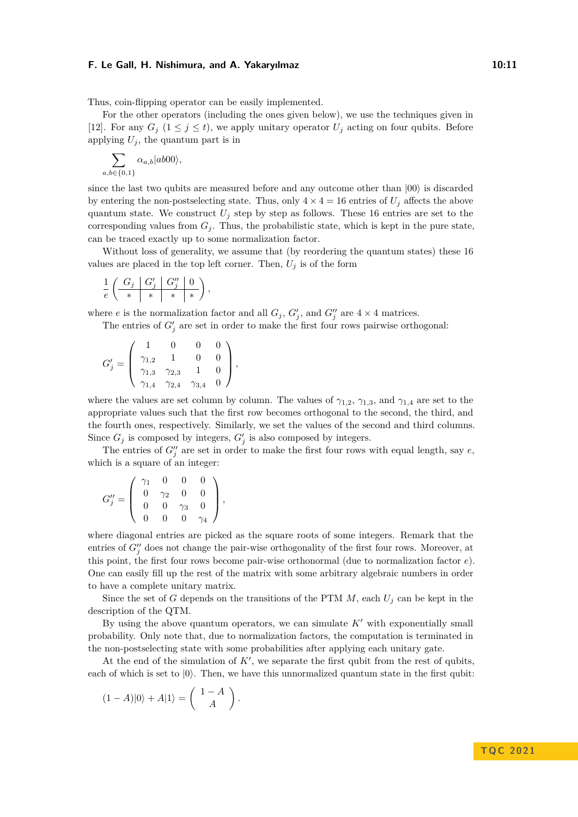Thus, coin-flipping operator can be easily implemented.

For the other operators (including the ones given below), we use the techniques given in [\[12\]](#page-16-11). For any  $G_j$  ( $1 \leq j \leq t$ ), we apply unitary operator  $U_j$  acting on four qubits. Before applying  $U_j$ , the quantum part is in

$$
\sum_{b \in \{0,1\}} \alpha_{a,b} |ab00\rangle,
$$

*a,b*∈{0*,*1}

since the last two qubits are measured before and any outcome other than  $|00\rangle$  is discarded by entering the non-postselecting state. Thus, only  $4 \times 4 = 16$  entries of  $U_j$  affects the above quantum state. We construct  $U_j$  step by step as follows. These 16 entries are set to the corresponding values from  $G_j$ . Thus, the probabilistic state, which is kept in the pure state, can be traced exactly up to some normalization factor.

Without loss of generality, we assume that (by reordering the quantum states) these 16 values are placed in the top left corner. Then,  $U_j$  is of the form

$$
\frac{1}{e}\left(\begin{array}{c|c|c} G_j & G_j' & G_j'' & 0 \\ \hline \ast & \ast & \ast \end{array}\right),
$$

where *e* is the normalization factor and all  $G_j$ ,  $G'_j$ , and  $G''_j$  are  $4 \times 4$  matrices.

The entries of  $G'_{j}$  are set in order to make the first four rows pairwise orthogonal:

$$
G'_{j} = \left(\begin{array}{cccc} 1 & 0 & 0 & 0 \\ \gamma_{1,2} & 1 & 0 & 0 \\ \gamma_{1,3} & \gamma_{2,3} & 1 & 0 \\ \gamma_{1,4} & \gamma_{2,4} & \gamma_{3,4} & 0 \end{array}\right),
$$

where the values are set column by column. The values of  $\gamma_{1,2}, \gamma_{1,3}$ , and  $\gamma_{1,4}$  are set to the appropriate values such that the first row becomes orthogonal to the second, the third, and the fourth ones, respectively. Similarly, we set the values of the second and third columns. Since  $G_j$  is composed by integers,  $G'_j$  is also composed by integers.

The entries of  $G''_j$  are set in order to make the first four rows with equal length, say  $e$ , which is a square of an integer:

$$
G_j''=\left(\begin{array}{cccc} \gamma_1 & 0 & 0 & 0 \\ 0 & \gamma_2 & 0 & 0 \\ 0 & 0 & \gamma_3 & 0 \\ 0 & 0 & 0 & \gamma_4 \end{array}\right),
$$

where diagonal entries are picked as the square roots of some integers. Remark that the entries of  $G''_j$  does not change the pair-wise orthogonality of the first four rows. Moreover, at this point, the first four rows become pair-wise orthonormal (due to normalization factor *e*). One can easily fill up the rest of the matrix with some arbitrary algebraic numbers in order to have a complete unitary matrix.

Since the set of *G* depends on the transitions of the PTM  $M$ , each  $U_j$  can be kept in the description of the QTM.

By using the above quantum operators, we can simulate *K*′ with exponentially small probability. Only note that, due to normalization factors, the computation is terminated in the non-postselecting state with some probabilities after applying each unitary gate.

At the end of the simulation of  $K'$ , we separate the first qubit from the rest of qubits, each of which is set to  $|0\rangle$ . Then, we have this unnormalized quantum state in the first qubit:

$$
(1-A)|0\rangle + A|1\rangle = \begin{pmatrix} 1-A \\ A \end{pmatrix}.
$$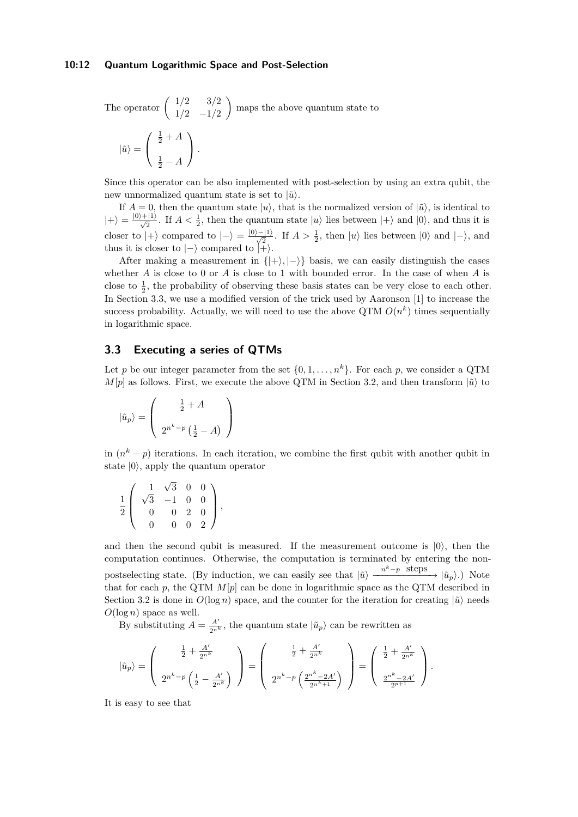#### **10:12 Quantum Logarithmic Space and Post-Selection**

The operator 
$$
\begin{pmatrix} 1/2 & 3/2 \\ 1/2 & -1/2 \end{pmatrix}
$$
 maps the above quantum state to

$$
|\tilde{u}\rangle = \left(\begin{array}{c} \frac{1}{2} + A \\ \frac{1}{2} - A \end{array}\right).
$$

Since this operator can be also implemented with post-selection by using an extra qubit, the new unnormalized quantum state is set to  $|\tilde{u}\rangle$ .

If  $A = 0$ , then the quantum state  $|u\rangle$ , that is the normalized version of  $|\tilde{u}\rangle$ , is identical to  $|+\rangle = \frac{|0\rangle + |1\rangle}{\sqrt{2}}$ . If  $A < \frac{1}{2}$ , then the quantum state  $|u\rangle$  lies between  $|+\rangle$  and  $|0\rangle$ , and thus it is 2 closer to  $|+\rangle$  compared to  $|-\rangle = \frac{|0\rangle - |1\rangle}{\sqrt{2}}$ . If  $A > \frac{1}{2}$ , then  $|u\rangle$  lies between  $|0\rangle$  and  $|-\rangle$ , and thus it is closer to  $|-\rangle$  compared to  $|+\rangle$ .

After making a measurement in  $\{|+\rangle, |-\rangle\}$  basis, we can easily distinguish the cases whether *A* is close to 0 or *A* is close to 1 with bounded error. In the case of when *A* is close to  $\frac{1}{2}$ , the probability of observing these basis states can be very close to each other. In Section [3.3,](#page-11-0) we use a modified version of the trick used by Aaronson [\[1\]](#page-15-0) to increase the success probability. Actually, we will need to use the above  $\mathrm{QTM}$   $O(n^k)$  times sequentially in logarithmic space.

# <span id="page-11-0"></span>**3.3 Executing a series of QTMs**

Let *p* be our integer parameter from the set  $\{0, 1, \ldots, n^k\}$ . For each *p*, we consider a QTM  $M[p]$  as follows. First, we execute the above QTM in Section [3.2,](#page-9-0) and then transform  $|\tilde{u}\rangle$  to

$$
|\tilde{u}_p\rangle = \left(\begin{array}{c} \frac{1}{2} + A \\ 2^{n^k - p} \left(\frac{1}{2} - A\right) \end{array}\right)
$$

in  $(n^k - p)$  iterations. In each iteration, we combine the first qubit with another qubit in state  $|0\rangle$ , apply the quantum operator

$$
\frac{1}{2} \left( \begin{array}{rrrrr} 1 & \sqrt{3} & 0 & 0 \\ \sqrt{3} & -1 & 0 & 0 \\ 0 & 0 & 2 & 0 \\ 0 & 0 & 0 & 2 \end{array} \right),
$$

and then the second qubit is measured. If the measurement outcome is  $|0\rangle$ , then the computation continues. Otherwise, the computation is terminated by entering the nonpostselecting state. (By induction, we can easily see that  $|\tilde{u}\rangle \xrightarrow{n^k-p \text{ steps}} |\tilde{u}_p\rangle$ .) Note that for each  $p$ , the QTM  $M[p]$  can be done in logarithmic space as the QTM described in Section [3.2](#page-9-0) is done in  $O(\log n)$  space, and the counter for the iteration for creating  $|\tilde{u}\rangle$  needs  $O(\log n)$  space as well.

By substituting  $A = \frac{A'}{2n^k}$ , the quantum state  $|\tilde{u}_p\rangle$  can be rewritten as

$$
\left| \tilde{u}_p \right\rangle = \left( \begin{array}{c} \frac{1}{2} + \frac{A'}{2^{n^k}} \\ \\ 2^{n^k - p} \left( \frac{1}{2} - \frac{A'}{2^{n^k}} \right) \end{array} \right) = \left( \begin{array}{c} \frac{1}{2} + \frac{A'}{2^{n^k}} \\ \\ 2^{n^k - p} \left( \frac{2^{n^k} - 2A'}{2^{n^k + 1}} \right) \end{array} \right) = \left( \begin{array}{c} \frac{1}{2} + \frac{A'}{2^{n^k}} \\ \\ \frac{2^{n^k} - 2A'}{2^{p+1}} \end{array} \right).
$$

It is easy to see that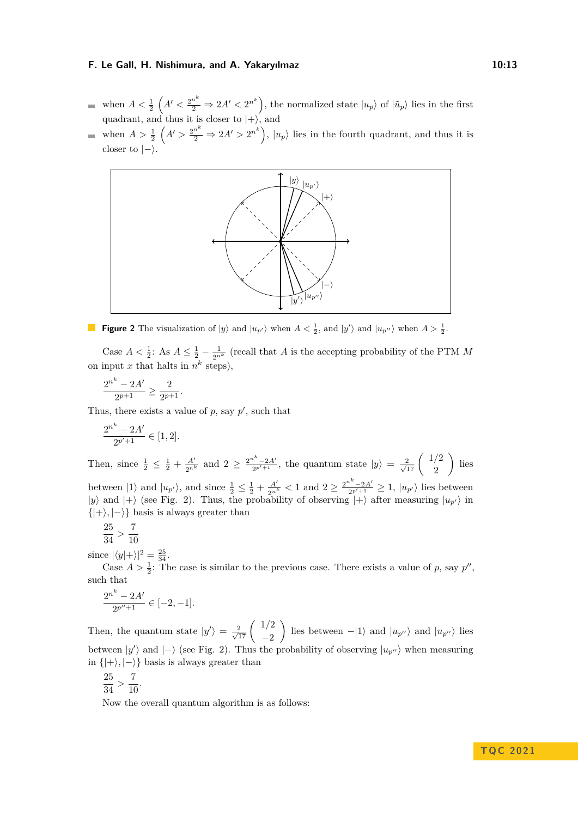- when  $A < \frac{1}{2}$   $\left(A' < \frac{2^{n^k}}{2} \Rightarrow 2A' < 2^{n^k}\right)$ , the normalized state  $|u_p\rangle$  of  $|\tilde{u}_p\rangle$  lies in the first quadrant, and thus it is closer to  $|+\rangle$ , and
- when  $A > \frac{1}{2}$   $(A' > \frac{2^{n^k}}{2} \Rightarrow 2A' > 2^{n^k}$ ,  $|u_p\rangle$  lies in the fourth quadrant, and thus it is closer to  $|-\rangle$ .

<span id="page-12-0"></span>

**Figure 2** The visualization of  $|y\rangle$  and  $|u_{p'}\rangle$  when  $A < \frac{1}{2}$ , and  $|y'\rangle$  and  $|u_{p''}\rangle$  when  $A > \frac{1}{2}$ .

Case  $A < \frac{1}{2}$ : As  $A \leq \frac{1}{2} - \frac{1}{2^{n^k}}$  (recall that *A* is the accepting probability of the PTM *M* on input x that halts in  $n^k$  steps),

$$
\frac{2^{n^k} - 2A'}{2^{p+1}} \ge \frac{2}{2^{p+1}}.
$$

Thus, there exists a value of  $p$ , say  $p'$ , such that

$$
\frac{2^{n^k} - 2A'}{2^{p'+1}} \in [1,2].
$$

Then, since  $\frac{1}{2} \leq \frac{1}{2} + \frac{A'}{2n^k}$  and  $2 \geq \frac{2^{n^k} - 2A'}{2p' + 1}$  $\frac{1}{2^{p'+1}}$ , the quantum state  $|y\rangle = \frac{2}{\sqrt{17}} \begin{pmatrix} 1/2 \\ 2 \end{pmatrix}$ 2  $\big)$  lies between  $|1\rangle$  and  $|u_{p'}\rangle$ , and since  $\frac{1}{2} \leq \frac{1}{2} + \frac{A'}{2^{n^k}} < 1$  and  $2 \geq \frac{2^{n^k} - 2A'}{2^{p'+1}}$  $\frac{u^2-2A'}{2p'+1} \geq 1, |u_{p'}\rangle$  lies between  $|y\rangle$  and  $|+\rangle$  (see Fig. [2\)](#page-12-0). Thus, the probability of observing  $|+\rangle$  after measuring  $|u_{p'}\rangle$  in  $\{|+\rangle, |-\rangle\}$  basis is always greater than

$$
\frac{25}{34} > \frac{7}{10}
$$

since  $|\langle y|+\rangle|^2 = \frac{25}{34}$ .

Case  $A > \frac{1}{2}$ : The case is similar to the previous case. There exists a value of *p*, say *p''*, such that

$$
\frac{2^{n^k} - 2A'}{2^{p''+1}} \in [-2, -1].
$$

Then, the quantum state  $|y'\rangle = \frac{2}{\sqrt{17}} \begin{pmatrix} 1/2 \\ -2 \end{pmatrix}$ −2 ) lies between −|1⟩ and  $|u_{p}$ <sup>'</sup>' and  $|u_{p}$ <sup>''</sup> > lies between  $|y'\rangle$  and  $|-\rangle$  (see Fig. [2\)](#page-12-0). Thus the probability of observing  $|u_{p''}\rangle$  when measuring in  $\{|+\rangle, |-\rangle\}$  basis is always greater than

$$
\frac{25}{24} > \frac{7}{10}.
$$

$$
34 \, \degree
$$
 10

Now the overall quantum algorithm is as follows: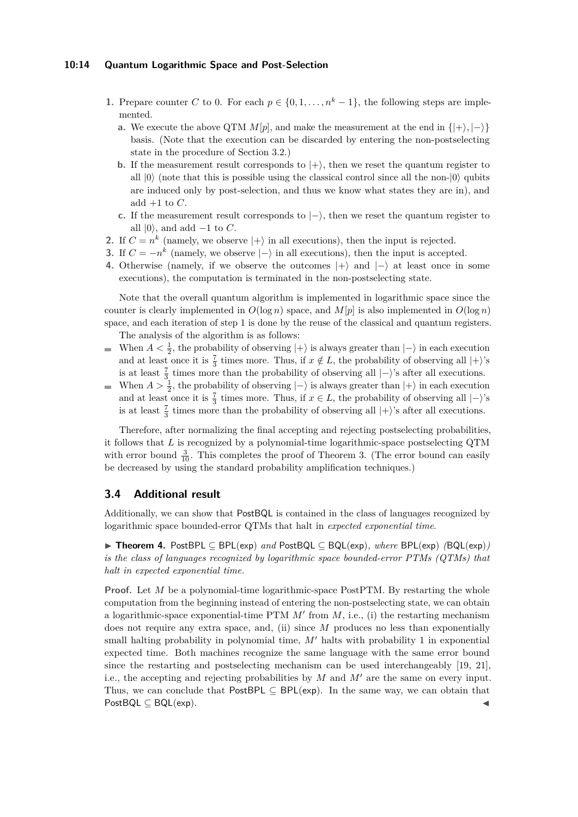## **10:14 Quantum Logarithmic Space and Post-Selection**

- **1.** Prepare counter *C* to 0. For each  $p \in \{0, 1, \ldots, n^k 1\}$ , the following steps are implemented.
	- **a.** We execute the above QTM  $M[p]$ , and make the measurement at the end in  $\{|\cdot\rangle, |\cdot\rangle\}$ basis. (Note that the execution can be discarded by entering the non-postselecting state in the procedure of Section [3.2.](#page-9-0))
	- **b.** If the measurement result corresponds to  $|+\rangle$ , then we reset the quantum register to all  $|0\rangle$  (note that this is possible using the classical control since all the non- $|0\rangle$  qubits are induced only by post-selection, and thus we know what states they are in), and add  $+1$  to  ${\cal C}.$
	- **c.** If the measurement result corresponds to  $|-\rangle$ , then we reset the quantum register to all  $|0\rangle$ , and add  $-1$  to *C*.
- **2.** If  $C = n^k$  (namely, we observe  $|+\rangle$  in all executions), then the input is rejected.
- **3.** If  $C = -n^k$  (namely, we observe  $|-\rangle$  in all executions), then the input is accepted.
- **4.** Otherwise (namely, if we observe the outcomes  $|+\rangle$  and  $|-\rangle$  at least once in some executions), the computation is terminated in the non-postselecting state.

Note that the overall quantum algorithm is implemented in logarithmic space since the counter is clearly implemented in  $O(\log n)$  space, and  $M[p]$  is also implemented in  $O(\log n)$ space, and each iteration of step 1 is done by the reuse of the classical and quantum registers. The analysis of the algorithm is as follows:

- When  $A < \frac{1}{2}$ , the probability of observing  $|+\rangle$  is always greater than  $|-\rangle$  in each execution  $\blacksquare$ and at least once it is  $\frac{7}{3}$  times more. Thus, if  $x \notin L$ , the probability of observing all  $|+\rangle$ 's is at least  $\frac{7}{3}$  times more than the probability of observing all  $|-\rangle$ 's after all executions.
- When  $A > \frac{1}{2}$ , the probability of observing  $|-\rangle$  is always greater than  $|+\rangle$  in each execution and at least once it is  $\frac{7}{3}$  times more. Thus, if  $x \in L$ , the probability of observing all  $|-\rangle$ 's is at least  $\frac{7}{3}$  times more than the probability of observing all  $|+\rangle$ 's after all executions.

Therefore, after normalizing the final accepting and rejecting postselecting probabilities, it follows that *L* is recognized by a polynomial-time logarithmic-space postselecting QTM with error bound  $\frac{3}{10}$ . This completes the proof of Theorem [3.](#page-6-0) (The error bound can easily be decreased by using the standard probability amplification techniques.)

# **3.4 Additional result**

Additionally, we can show that PostBQL is contained in the class of languages recognized by logarithmic space bounded-error QTMs that halt in *expected exponential time*.

▶ **Theorem 4.** PostBPL ⊆ BPL(exp) *and* PostBQL ⊆ BQL(exp)*, where* BPL(exp) *(*BQL(exp)*) is the class of languages recognized by logarithmic space bounded-error PTMs (QTMs) that halt in expected exponential time.*

**Proof.** Let *M* be a polynomial-time logarithmic-space PostPTM. By restarting the whole computation from the beginning instead of entering the non-postselecting state, we can obtain a logarithmic-space exponential-time PTM  $M'$  from  $M$ , i.e., (i) the restarting mechanism does not require any extra space, and, (ii) since *M* produces no less than exponentially small halting probability in polynomial time, *M*′ halts with probability 1 in exponential expected time. Both machines recognize the same language with the same error bound since the restarting and postselecting mechanism can be used interchangeably [\[19,](#page-16-12) [21\]](#page-16-2), i.e., the accepting and rejecting probabilities by *M* and *M*′ are the same on every input. Thus, we can conclude that PostBPL  $\subseteq$  BPL(exp). In the same way, we can obtain that  $PostBQL \subseteq BQL(exp)$ .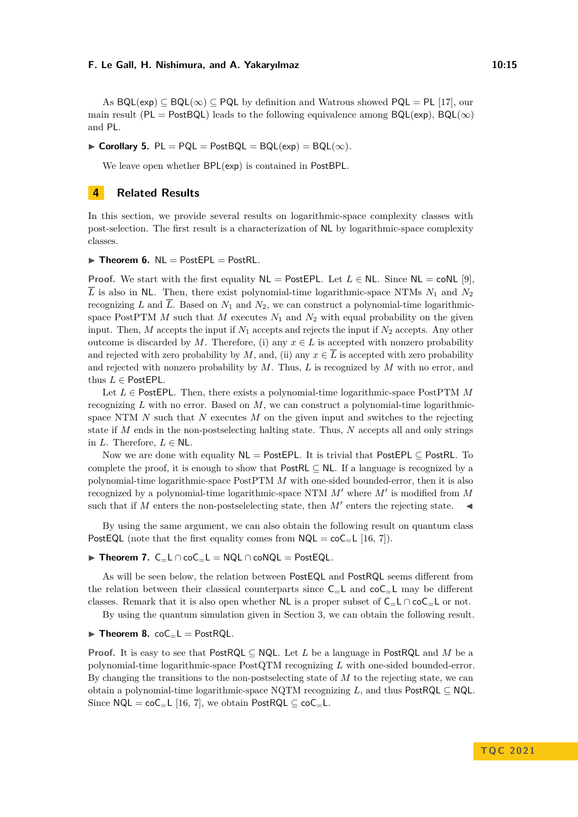As  $BQL(exp) \subseteq BQL(\infty) \subseteq PQL$  by definition and Watrous showed  $PQL = PL$  [\[17\]](#page-16-5), our main result (PL = PostBQL) leads to the following equivalence among  $BQL(exp)$ ,  $BQL(\infty)$ and PL.

▶ **Corollary 5.** PL = PQL = PostBQL = BQL(exp) = BQL( $\infty$ ).

We leave open whether BPL(exp) is contained in PostBPL.

# <span id="page-14-0"></span>**4 Related Results**

In this section, we provide several results on logarithmic-space complexity classes with post-selection. The first result is a characterization of NL by logarithmic-space complexity classes.

▶ **Theorem 6.** NL = PostEPL = PostRL*.*

**Proof.** We start with the first equality  $NL = PostEPL$ . Let  $L \in NL$ . Since  $NL = \text{coNL}$  [\[9\]](#page-16-10),  $\overline{L}$  is also in NL. Then, there exist polynomial-time logarithmic-space NTMs  $N_1$  and  $N_2$ recognizing *L* and  $\overline{L}$ . Based on  $N_1$  and  $N_2$ , we can construct a polynomial-time logarithmicspace PostPTM  $M$  such that  $M$  executes  $N_1$  and  $N_2$  with equal probability on the given input. Then,  $M$  accepts the input if  $N_1$  accepts and rejects the input if  $N_2$  accepts. Any other outcome is discarded by *M*. Therefore, (i) any  $x \in L$  is accepted with nonzero probability and rejected with zero probability by *M*, and, (ii) any  $x \in \overline{L}$  is accepted with zero probability and rejected with nonzero probability by *M*. Thus, *L* is recognized by *M* with no error, and thus *L* ∈ PostEPL.

Let *L* ∈ PostEPL. Then, there exists a polynomial-time logarithmic-space PostPTM *M* recognizing *L* with no error. Based on *M*, we can construct a polynomial-time logarithmicspace NTM *N* such that *N* executes *M* on the given input and switches to the rejecting state if *M* ends in the non-postselecting halting state. Thus, *N* accepts all and only strings in *L*. Therefore,  $L \in \mathbb{N}$ **L**.

Now we are done with equality  $NL = PostEPL$ . It is trivial that PostEPL  $\subset$  PostRL. To complete the proof, it is enough to show that PostRL  $\subseteq$  NL. If a language is recognized by a polynomial-time logarithmic-space PostPTM *M* with one-sided bounded-error, then it is also recognized by a polynomial-time logarithmic-space NTM *M*′ where *M*′ is modified from *M* such that if  $M$  enters the non-postselelecting state, then  $M'$  enters the rejecting state.  $\blacktriangleleft$ 

By using the same argument, we can also obtain the following result on quantum class PostEQL (note that the first equality comes from  $NQL = \text{coC}$ <sub>=</sub>L [\[16,](#page-16-0) [7\]](#page-15-3)).

#### ▶ **Theorem 7.** C=L ∩ coC=L = NQL ∩ coNQL = PostEQL*.*

As will be seen below, the relation between PostEQL and PostRQL seems different from the relation between their classical counterparts since  $C_{=}L$  and  $coC_{=}L$  may be different classes. Remark that it is also open whether NL is a proper subset of  $C = L \cap \text{co}C = L$  or not.

By using the quantum simulation given in Section [3,](#page-6-1) we can obtain the following result.

## $\blacktriangleright$  **Theorem 8.** coC<sub>=</sub>L = PostRQL.

**Proof.** It is easy to see that PostRQL ⊆ NQL. Let *L* be a language in PostRQL and *M* be a polynomial-time logarithmic-space PostQTM recognizing *L* with one-sided bounded-error. By changing the transitions to the non-postselecting state of *M* to the rejecting state, we can obtain a polynomial-time logarithmic-space NQTM recognizing *L*, and thus PostRQL ⊆ NQL. Since  $NQL = \text{coC}$ <sub>=</sub>L [\[16,](#page-16-0) [7\]](#page-15-3), we obtain PostRQL  $\subseteq$  coC<sub>=</sub>L.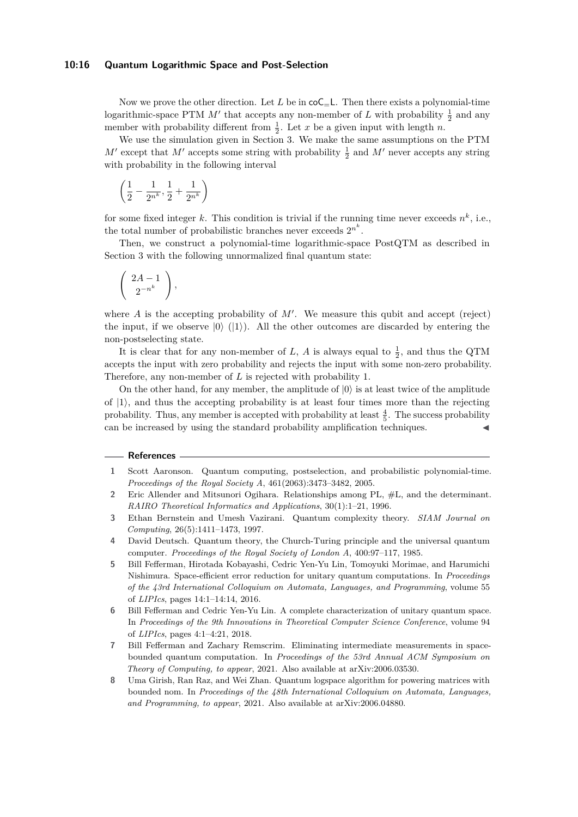#### **10:16 Quantum Logarithmic Space and Post-Selection**

Now we prove the other direction. Let  $L$  be in  $\text{coC}_{\text{=}L}$ . Then there exists a polynomial-time logarithmic-space PTM  $M'$  that accepts any non-member of *L* with probability  $\frac{1}{2}$  and any member with probability different from  $\frac{1}{2}$ . Let *x* be a given input with length *n*.

We use the simulation given in Section [3.](#page-6-1) We make the same assumptions on the PTM  $M'$  except that  $M'$  accepts some string with probability  $\frac{1}{2}$  and  $M'$  never accepts any string with probability in the following interval

$$
\left(\frac{1}{2} - \frac{1}{2^{n^k}}, \frac{1}{2} + \frac{1}{2^{n^k}}\right)
$$

for some fixed integer  $k$ . This condition is trivial if the running time never exceeds  $n^k$ , i.e., the total number of probabilistic branches never exceeds  $2^{n^k}$ .

Then, we construct a polynomial-time logarithmic-space PostQTM as described in Section [3](#page-6-1) with the following unnormalized final quantum state:

$$
\left(\begin{array}{c} 2A-1\\2^{-n^k}\end{array}\right),
$$

where  $A$  is the accepting probability of  $M'$ . We measure this qubit and accept (reject) the input, if we observe  $|0\rangle$  ( $|1\rangle$ ). All the other outcomes are discarded by entering the non-postselecting state.

It is clear that for any non-member of *L*, *A* is always equal to  $\frac{1}{2}$ , and thus the QTM accepts the input with zero probability and rejects the input with some non-zero probability. Therefore, any non-member of *L* is rejected with probability 1.

On the other hand, for any member, the amplitude of  $|0\rangle$  is at least twice of the amplitude of  $|1\rangle$ , and thus the accepting probability is at least four times more than the rejecting probability. Thus, any member is accepted with probability at least  $\frac{4}{5}$ . The success probability can be increased by using the standard probability amplification techniques.

#### **References**

- <span id="page-15-0"></span>**1** Scott Aaronson. Quantum computing, postselection, and probabilistic polynomial-time. *Proceedings of the Royal Society A*, 461(2063):3473–3482, 2005.
- <span id="page-15-5"></span>**2** Eric Allender and Mitsunori Ogihara. Relationships among PL, #L, and the determinant. *RAIRO Theoretical Informatics and Applications*, 30(1):1–21, 1996.
- <span id="page-15-7"></span>**3** Ethan Bernstein and Umesh Vazirani. Quantum complexity theory. *SIAM Journal on Computing*, 26(5):1411–1473, 1997.
- <span id="page-15-6"></span>**4** David Deutsch. Quantum theory, the Church-Turing principle and the universal quantum computer. *Proceedings of the Royal Society of London A*, 400:97–117, 1985.
- <span id="page-15-2"></span>**5** Bill Fefferman, Hirotada Kobayashi, Cedric Yen-Yu Lin, Tomoyuki Morimae, and Harumichi Nishimura. Space-efficient error reduction for unitary quantum computations. In *Proceedings of the 43rd International Colloquium on Automata, Languages, and Programming*, volume 55 of *LIPIcs*, pages 14:1–14:14, 2016.
- <span id="page-15-1"></span>**6** Bill Fefferman and Cedric Yen-Yu Lin. A complete characterization of unitary quantum space. In *Proceedings of the 9th Innovations in Theoretical Computer Science Conference*, volume 94 of *LIPIcs*, pages 4:1–4:21, 2018.
- <span id="page-15-3"></span>**7** Bill Fefferman and Zachary Remscrim. Eliminating intermediate measurements in spacebounded quantum computation. In *Proceedings of the 53rd Annual ACM Symposium on Theory of Computing, to appear*, 2021. Also available at arXiv:2006.03530.
- <span id="page-15-4"></span>**8** Uma Girish, Ran Raz, and Wei Zhan. Quantum logspace algorithm for powering matrices with bounded nom. In *Proceedings of the 48th International Colloquium on Automata, Languages, and Programming, to appear*, 2021. Also available at arXiv:2006.04880.